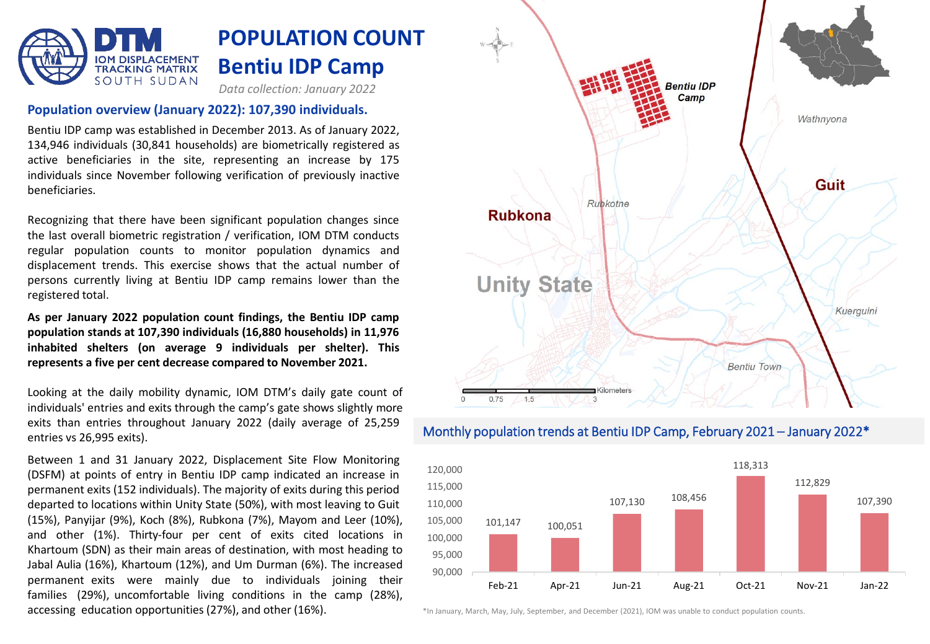

#### **Population overview (January 2022): 107,390 individuals.**

Bentiu IDP camp was established in December 2013. As of January 2022, 134,946 individuals (30,841 households) are biometrically registered as active beneficiaries in the site, representing an increase by 175 individuals since November following verification of previously inactive beneficiaries.

Recognizing that there have been significant population changes since the last overall biometric registration / verification, IOM DTM conducts regular population counts to monitor population dynamics and displacement trends. This exercise shows that the actual number of persons currently living at Bentiu IDP camp remains lower than the registered total.

**As per January 2022 population count findings, the Bentiu IDP camp population stands at 107,390 individuals (16,880 households) in 11,976 inhabited shelters (on average 9 individuals per shelter). This represents a five per cent decrease compared to November 2021.**

Looking at the daily mobility dynamic, IOM DTM's daily gate count of individuals' entries and exits through the camp's gate shows slightly more exits than entries throughout January 2022 (daily average of 25,259 entries vs 26,995 exits).

Between 1 and 31 January 2022, Displacement Site Flow Monitoring (DSFM) at points of entry in Bentiu IDP camp indicated an increase in permanent exits (152 individuals). The majority of exits during this period departed to locations within Unity State (50%), with most leaving to Guit (15%), Panyijar (9%), Koch (8%), Rubkona (7%), Mayom and Leer (10%), and other (1%). Thirty-four per cent of exits cited locations in Khartoum (SDN) as their main areas of destination, with most heading to Jabal Aulia (16%), Khartoum (12%), and Um Durman (6%). The increased permanent exits were mainly due to individuals joining their families (29%), uncomfortable living conditions in the camp (28%), accessing education opportunities (27%), and other (16%).



### Monthly population trends at Bentiu IDP Camp, February 2021 – January 2022\*



\*In January, March, May, July, September, and December (2021), IOM was unable to conduct population counts.